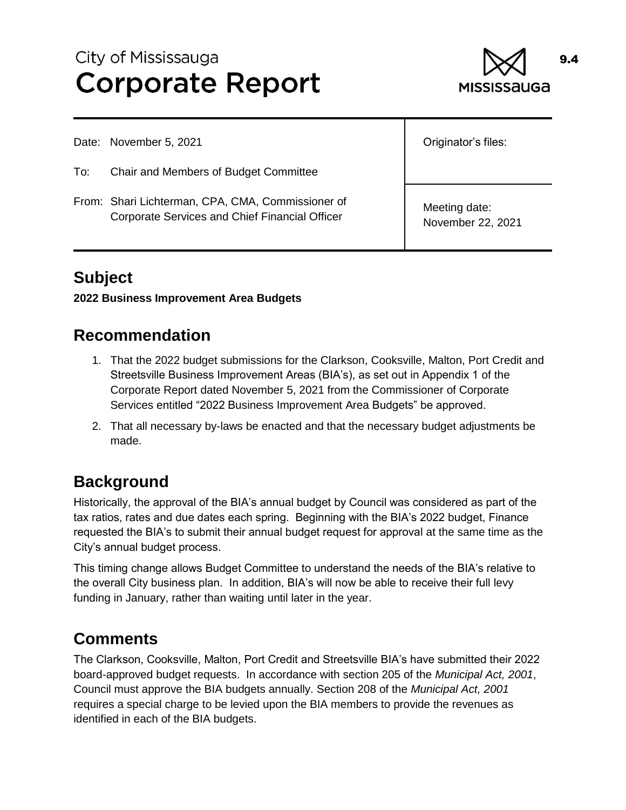# City of Mississauga **Corporate Report**



Date: November 5, 2021

- To: Chair and Members of Budget Committee
- From: Shari Lichterman, CPA, CMA, Commissioner of Corporate Services and Chief Financial Officer

Originator's files:

Meeting date: November 22, 2021

# **Subject**

#### **2022 Business Improvement Area Budgets**

#### **Recommendation**

- 1. That the 2022 budget submissions for the Clarkson, Cooksville, Malton, Port Credit and Streetsville Business Improvement Areas (BIA's), as set out in Appendix 1 of the Corporate Report dated November 5, 2021 from the Commissioner of Corporate Services entitled "2022 Business Improvement Area Budgets" be approved.
- 2. That all necessary by-laws be enacted and that the necessary budget adjustments be made.

# **Background**

Historically, the approval of the BIA's annual budget by Council was considered as part of the tax ratios, rates and due dates each spring. Beginning with the BIA's 2022 budget, Finance requested the BIA's to submit their annual budget request for approval at the same time as the City's annual budget process.

This timing change allows Budget Committee to understand the needs of the BIA's relative to the overall City business plan. In addition, BIA's will now be able to receive their full levy funding in January, rather than waiting until later in the year.

# **Comments**

The Clarkson, Cooksville, Malton, Port Credit and Streetsville BIA's have submitted their 2022 board-approved budget requests. In accordance with section 205 of the *Municipal Act, 2001*, Council must approve the BIA budgets annually. Section 208 of the *Municipal Act, 2001* requires a special charge to be levied upon the BIA members to provide the revenues as identified in each of the BIA budgets.

9.4